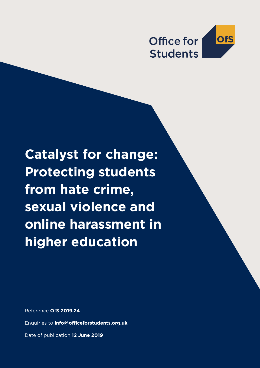

**Catalyst for change: Protecting students from hate crime, sexual violence and online harassment in higher education**

Reference **OfS 2019.24**

Enquiries to **info@officeforstudents.org.uk**

Date of publication **12 June 2019**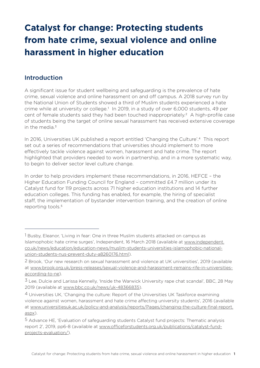# **Catalyst for change: Protecting students from hate crime, sexual violence and online harassment in higher education**

# Introduction

A significant issue for student wellbeing and safeguarding is the prevalence of hate crime, sexual violence and online harassment on and off campus. A 2018 survey run by the National Union of Students showed a third of Muslim students experienced a hate crime while at university or college.1 In 2019, in a study of over 6,000 students, 49 per cent of female students said they had been touched inappropriately.2 A high-profile case of students being the target of online sexual harassment has received extensive coverage in the media.<sup>3</sup>

In 2016, Universities UK published a report entitled 'Changing the Culture'.4 This report set out a series of recommendations that universities should implement to more effectively tackle violence against women, harassment and hate crime. The report highlighted that providers needed to work in partnership, and in a more systematic way, to begin to deliver sector level culture change.

In order to help providers implement these recommendations, in 2016, HEFCE – the Higher Education Funding Council for England – committed £4.7 million under its Catalyst fund for 119 projects across 71 higher education institutions and 14 further education colleges. This funding has enabled, for example, the hiring of specialist staff, the implementation of bystander intervention training, and the creation of online reporting tools.<sup>5</sup>

<sup>&</sup>lt;sup>1</sup> Busby, Eleanor, 'Living in fear: One in three Muslim students attacked on campus as Islamophobic hate crime surges', Independent, 16 March 2018 (available at www.independent. co.uk/news/education/education-news/muslim-students-universities-islamophobic-nationalunion-students-nus-prevent-duty-a8260176.html).

<sup>2</sup> Brook, 'Our new research on sexual harassment and violence at UK universities', 2019 (available at www.brook.org.uk/press-releases/sexual-violence-and-harassment-remains-rife-in-universitiesaccording-to-ne).

<sup>&</sup>lt;sup>3</sup> Lee, Dulcie and Larissa Kennelly, 'Inside the Warwick University rape chat scandal', BBC, 28 May 2019 (available at www.bbc.co.uk/news/uk-48366835).

<sup>4</sup> Universities UK, 'Changing the culture: Report of the Universities UK Taskforce examining violence against women, harassment and hate crime affecting university students', 2016 (available at www.universitiesuk.ac.uk/policy-and-analysis/reports/Pages/changing-the-culture-final-report. aspx).

<sup>5</sup> Advance HE, 'Evaluation of safeguarding students Catalyst fund projects: Thematic analysis report 2', 2019, pp6-8 (available at www.officeforstudents.org.uk/publications/catalyst-fundprojects-evaluation/).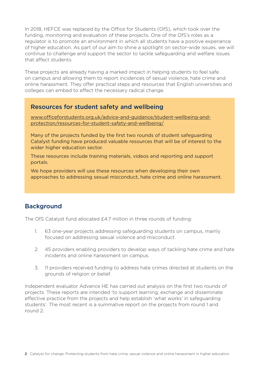In 2018, HEFCE was replaced by the Office for Students (OfS), which took over the funding, monitoring and evaluation of these projects. One of the OfS's roles as a regulator is to promote an environment in which all students have a positive experience of higher education. As part of our aim to shine a spotlight on sector-wide issues, we will continue to challenge and support the sector to tackle safeguarding and welfare issues that affect students.

These projects are already having a marked impact in helping students to feel safe on campus and allowing them to report incidences of sexual violence, hate crime and online harassment. They offer practical steps and resources that English universities and colleges can embed to effect the necessary radical change.

## Resources for student safety and wellbeing

www.officeforstudents.org.uk/advice-and-guidance/student-wellbeing-andprotection/resources-for-student-safety-and-wellbeing/

Many of the projects funded by the first two rounds of student safeguarding Catalyst funding have produced valuable resources that will be of interest to the wider higher education sector.

These resources include training materials, videos and reporting and support portals.

We hope providers will use these resources when developing their own approaches to addressing sexual misconduct, hate crime and online harassment.

# **Background**

The OfS Catalyst fund allocated £4.7 million in three rounds of funding:

- 1. 63 one-year projects addressing safeguarding students on campus, mainly focused on addressing sexual violence and misconduct.
- 2. 45 providers enabling providers to develop ways of tackling hate crime and hate incidents and online harassment on campus.
- 3. 11 providers received funding to address hate crimes directed at students on the grounds of religion or belief.

Independent evaluator Advance HE has carried out analysis on the first two rounds of projects. These reports are intended 'to support learning, exchange and disseminate effective practice from the projects and help establish 'what works' in safeguarding students'. The most recent is a summative report on the projects from round 1 and round 2.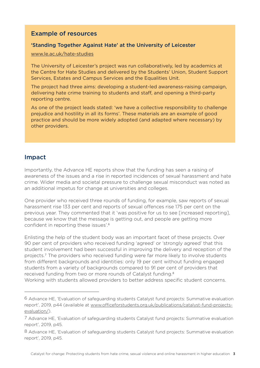## Example of resources

## 'Standing Together Against Hate' at the University of Leicester

#### www.le.ac.uk/hate-studies

The University of Leicester's project was run collaboratively, led by academics at the Centre for Hate Studies and delivered by the Students' Union, Student Support Services, Estates and Campus Services and the Equalities Unit.

The project had three aims: developing a student-led awareness-raising campaign, delivering hate crime training to students and staff, and opening a third-party reporting centre.

As one of the project leads stated: 'we have a collective responsibility to challenge prejudice and hostility in all its forms'. These materials are an example of good practice and should be more widely adopted (and adapted where necessary) by other providers.

## Impact

Importantly, the Advance HE reports show that the funding has seen a raising of awareness of the issues and a rise in reported incidences of sexual harassment and hate crime. Wider media and societal pressure to challenge sexual misconduct was noted as an additional impetus for change at universities and colleges.

One provider who received three rounds of funding, for example, saw reports of sexual harassment rise 133 per cent and reports of sexual offences rise 175 per cent on the previous year. They commented that it 'was positive for us to see [increased reporting], because we know that the message is getting out, and people are getting more confident in reporting these issues'.6

Enlisting the help of the student body was an important facet of these projects. Over 90 per cent of providers who received funding 'agreed' or 'strongly agreed' that this student involvement had been successful in improving the delivery and reception of the projects.7 The providers who received funding were far more likely to involve students from different backgrounds and identities: only 19 per cent without funding engaged students from a variety of backgrounds compared to 91 per cent of providers that received funding from two or more rounds of Catalyst funding.8

Working with students allowed providers to better address specific student concerns.

<sup>6</sup> Advance HE, 'Evaluation of safeguarding students Catalyst fund projects: Summative evaluation report', 2019, p44 (available at www.officeforstudents.org.uk/publications/catalyst-fund-projectsevaluation/).

<sup>7</sup> Advance HE, 'Evaluation of safeguarding students Catalyst fund projects: Summative evaluation report', 2019, p45.

<sup>8</sup> Advance HE, 'Evaluation of safeguarding students Catalyst fund projects: Summative evaluation report', 2019, p45.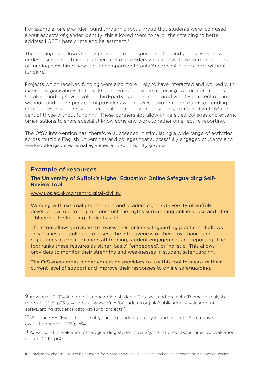For example, one provider found through a focus group that students were 'confused' about aspects of gender identity; this allowed them to tailor their training to better address LGBT+ hate crime and harassment.9

The funding has allowed many providers to hire specialist staff and generalist staff who undertook relevant training. 73 per cent of providers who received two or more rounds of funding have hired new staff in comparison to only 19 per cent of providers without funding.10

Projects which received funding were also more likely to have interacted and worked with external organisations. In total, 86 per cent of providers receiving two or more rounds of Catalyst funding have involved third-party agencies, compared with 58 per cent of those without funding. 77 per cent of providers who received two or more rounds of funding engaged with other providers or local community organisations, compared with 38 per cent of those without funding.11 These partnerships allow universities, colleges and external organisations to share specialist knowledge and work together on effective reporting.

The OfS's intervention has, therefore, succeeded in stimulating a wide range of activities across multiple English universities and colleges that successfully engaged students and worked alongside external agencies and community groups.

## Example of resources

## The University of Suffolk's Higher Education Online Safeguarding Self-Review Tool

#### www.uos.ac.uk/content/digital-civility

Working with external practitioners and academics, the University of Suffolk developed a tool to help deconstruct the myths surrounding online abuse and offer a blueprint for keeping students safe.

Their tool allows providers to review their online safeguarding practices. It allows universities and colleges to assess the effectiveness of their governance and regulations, curriculum and staff training, student engagement and reporting. The tool ranks these features as either 'basic', 'embedded', or 'holistic'. This allows providers to monitor their strengths and weaknesses in student safeguarding.

The OfS encourages higher education providers to use this tool to measure their current level of support and improve their responses to online safeguarding.

<sup>9</sup> Advance HE, 'Evaluation of safeguarding students Catalyst fund projects: Thematic analysis report 1', 2018, p35 (available at www.officeforstudents.org.uk/publications/evaluation-ofsafeguarding-students-catalyst-fund-projects/).

<sup>10</sup> Advance HE, 'Evaluation of safeguarding students Catalyst fund projects: Summative evaluation report', 2019, p64.

<sup>11</sup> Advance HE, 'Evaluation of safeguarding students Catalyst fund projects: Summative evaluation report', 2019, p60.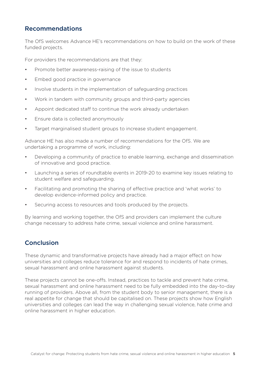# Recommendations

The OfS welcomes Advance HE's recommendations on how to build on the work of these funded projects.

For providers the recommendations are that they:

- Promote better awareness-raising of the issue to students
- Embed good practice in governance
- Involve students in the implementation of safeguarding practices
- Work in tandem with community groups and third-party agencies
- Appoint dedicated staff to continue the work already undertaken
- Ensure data is collected anonymously
- Target marginalised student groups to increase student engagement.

Advance HE has also made a number of recommendations for the OfS. We are undertaking a programme of work, including:

- Developing a community of practice to enable learning, exchange and dissemination of innovative and good practice.
- Launching a series of roundtable events in 2019-20 to examine key issues relating to student welfare and safeguarding.
- Facilitating and promoting the sharing of effective practice and 'what works' to develop evidence-informed policy and practice.
- Securing access to resources and tools produced by the projects.

By learning and working together, the OfS and providers can implement the culture change necessary to address hate crime, sexual violence and online harassment.

# Conclusion

These dynamic and transformative projects have already had a major effect on how universities and colleges reduce tolerance for and respond to incidents of hate crimes, sexual harassment and online harassment against students.

These projects cannot be one-offs. Instead, practices to tackle and prevent hate crime, sexual harassment and online harassment need to be fully embedded into the day-to-day running of providers. Above all, from the student body to senior management, there is a real appetite for change that should be capitalised on. These projects show how English universities and colleges can lead the way in challenging sexual violence, hate crime and online harassment in higher education.